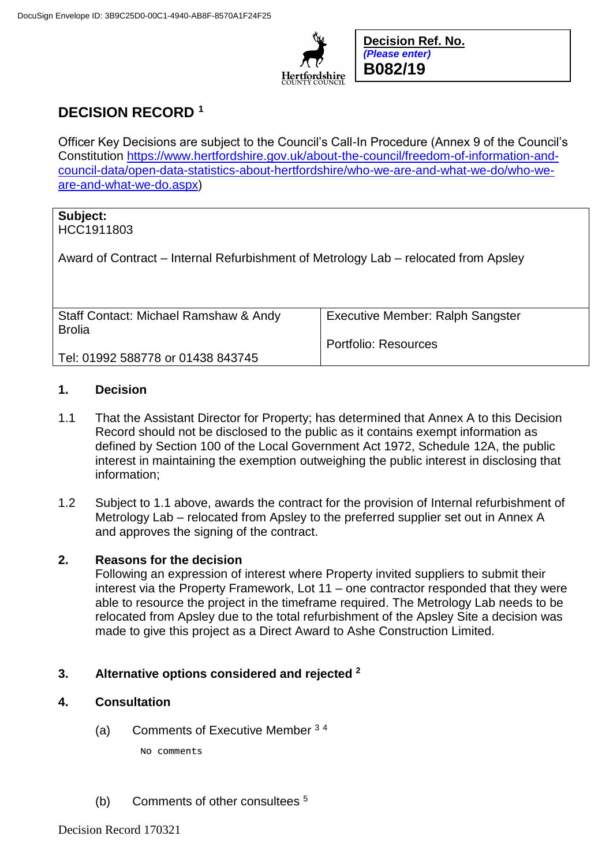

**Decision Ref. No.** *(Please enter)* **B082/19**

# **DECISION RECORD <sup>1</sup>**

Officer Key Decisions are subject to the Council's Call-In Procedure (Annex 9 of the Council's Constitution [https://www.hertfordshire.gov.uk/about-the-council/freedom-of-information-and](https://www.hertfordshire.gov.uk/about-the-council/freedom-of-information-and-council-data/open-data-statistics-about-hertfordshire/who-we-are-and-what-we-do/who-we-are-and-what-we-do.aspx)[council-data/open-data-statistics-about-hertfordshire/who-we-are-and-what-we-do/who-we](https://www.hertfordshire.gov.uk/about-the-council/freedom-of-information-and-council-data/open-data-statistics-about-hertfordshire/who-we-are-and-what-we-do/who-we-are-and-what-we-do.aspx)[are-and-what-we-do.aspx\)](https://www.hertfordshire.gov.uk/about-the-council/freedom-of-information-and-council-data/open-data-statistics-about-hertfordshire/who-we-are-and-what-we-do/who-we-are-and-what-we-do.aspx)

## **Subject:**

HCC1911803

Award of Contract – Internal Refurbishment of Metrology Lab – relocated from Apsley

| Staff Contact: Michael Ramshaw & Andy | <b>Executive Member: Ralph Sangster</b> |
|---------------------------------------|-----------------------------------------|
| <b>Brolia</b>                         |                                         |
|                                       | Portfolio: Resources                    |
| Tel: 01992 588778 or 01438 843745     |                                         |

### **1. Decision**

- 1.1 That the Assistant Director for Property; has determined that Annex A to this Decision Record should not be disclosed to the public as it contains exempt information as defined by Section 100 of the Local Government Act 1972, Schedule 12A, the public interest in maintaining the exemption outweighing the public interest in disclosing that information;
- 1.2 Subject to 1.1 above, awards the contract for the provision of Internal refurbishment of Metrology Lab – relocated from Apsley to the preferred supplier set out in Annex A and approves the signing of the contract.

#### **2. Reasons for the decision**

Following an expression of interest where Property invited suppliers to submit their interest via the Property Framework, Lot 11 – one contractor responded that they were able to resource the project in the timeframe required. The Metrology Lab needs to be relocated from Apsley due to the total refurbishment of the Apsley Site a decision was made to give this project as a Direct Award to Ashe Construction Limited.

### **3. Alternative options considered and rejected <sup>2</sup>**

- **4. Consultation**
	- (a) Comments of Executive Member <sup>3</sup> <sup>4</sup> No comments
	- (b) Comments of other consultees <sup>5</sup>

Decision Record 170321